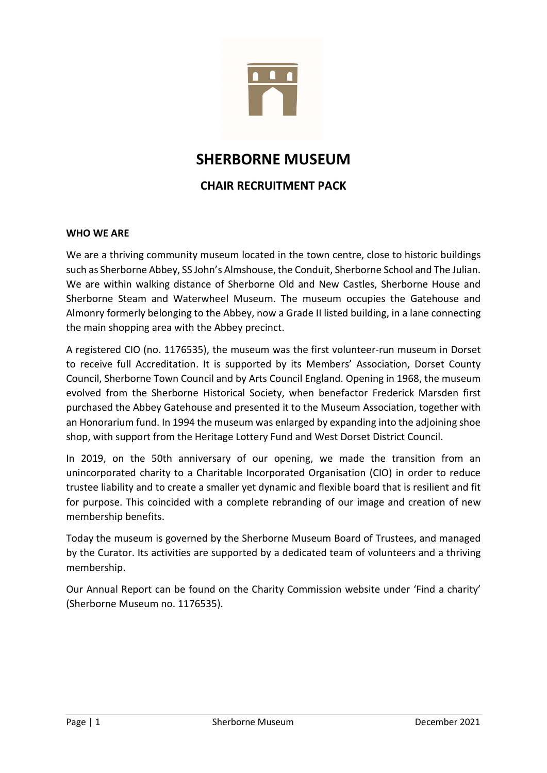

# SHERBORNE MUSEUM

# CHAIR RECRUITMENT PACK

#### WHO WE ARE

We are a thriving community museum located in the town centre, close to historic buildings such as Sherborne Abbey, SS John's Almshouse, the Conduit, Sherborne School and The Julian. We are within walking distance of Sherborne Old and New Castles, Sherborne House and Sherborne Steam and Waterwheel Museum. The museum occupies the Gatehouse and Almonry formerly belonging to the Abbey, now a Grade II listed building, in a lane connecting the main shopping area with the Abbey precinct.

A registered CIO (no. 1176535), the museum was the first volunteer-run museum in Dorset to receive full Accreditation. It is supported by its Members' Association, Dorset County Council, Sherborne Town Council and by Arts Council England. Opening in 1968, the museum evolved from the Sherborne Historical Society, when benefactor Frederick Marsden first purchased the Abbey Gatehouse and presented it to the Museum Association, together with an Honorarium fund. In 1994 the museum was enlarged by expanding into the adjoining shoe shop, with support from the Heritage Lottery Fund and West Dorset District Council.

In 2019, on the 50th anniversary of our opening, we made the transition from an unincorporated charity to a Charitable Incorporated Organisation (CIO) in order to reduce trustee liability and to create a smaller yet dynamic and flexible board that is resilient and fit for purpose. This coincided with a complete rebranding of our image and creation of new membership benefits.

Today the museum is governed by the Sherborne Museum Board of Trustees, and managed by the Curator. Its activities are supported by a dedicated team of volunteers and a thriving membership.

Our Annual Report can be found on the Charity Commission website under 'Find a charity' (Sherborne Museum no. 1176535).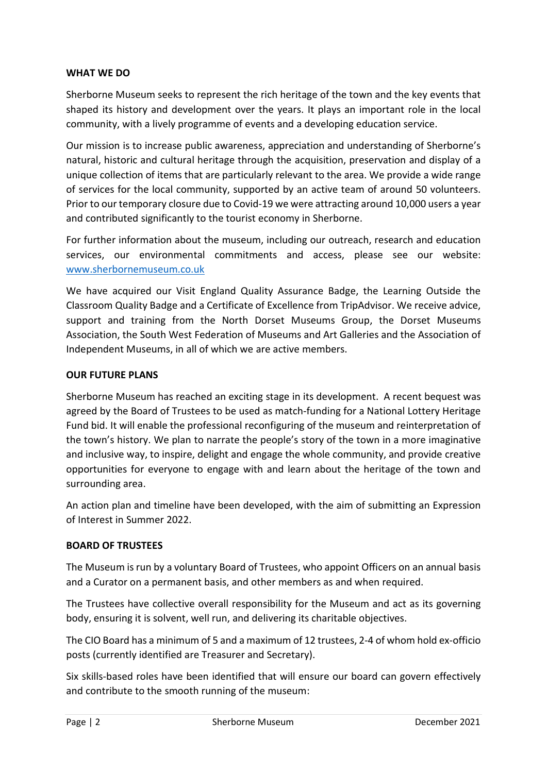#### WHAT WE DO

Sherborne Museum seeks to represent the rich heritage of the town and the key events that shaped its history and development over the years. It plays an important role in the local community, with a lively programme of events and a developing education service.

Our mission is to increase public awareness, appreciation and understanding of Sherborne's natural, historic and cultural heritage through the acquisition, preservation and display of a unique collection of items that are particularly relevant to the area. We provide a wide range of services for the local community, supported by an active team of around 50 volunteers. Prior to our temporary closure due to Covid-19 we were attracting around 10,000 users a year and contributed significantly to the tourist economy in Sherborne.

For further information about the museum, including our outreach, research and education services, our environmental commitments and access, please see our website: www.sherbornemuseum.co.uk

We have acquired our Visit England Quality Assurance Badge, the Learning Outside the Classroom Quality Badge and a Certificate of Excellence from TripAdvisor. We receive advice, support and training from the North Dorset Museums Group, the Dorset Museums Association, the South West Federation of Museums and Art Galleries and the Association of Independent Museums, in all of which we are active members.

### OUR FUTURE PLANS

Sherborne Museum has reached an exciting stage in its development. A recent bequest was agreed by the Board of Trustees to be used as match-funding for a National Lottery Heritage Fund bid. It will enable the professional reconfiguring of the museum and reinterpretation of the town's history. We plan to narrate the people's story of the town in a more imaginative and inclusive way, to inspire, delight and engage the whole community, and provide creative opportunities for everyone to engage with and learn about the heritage of the town and surrounding area.

An action plan and timeline have been developed, with the aim of submitting an Expression of Interest in Summer 2022.

# BOARD OF TRUSTEES

The Museum is run by a voluntary Board of Trustees, who appoint Officers on an annual basis and a Curator on a permanent basis, and other members as and when required.

The Trustees have collective overall responsibility for the Museum and act as its governing body, ensuring it is solvent, well run, and delivering its charitable objectives.

The CIO Board has a minimum of 5 and a maximum of 12 trustees, 2-4 of whom hold ex-officio posts (currently identified are Treasurer and Secretary).

Six skills-based roles have been identified that will ensure our board can govern effectively and contribute to the smooth running of the museum: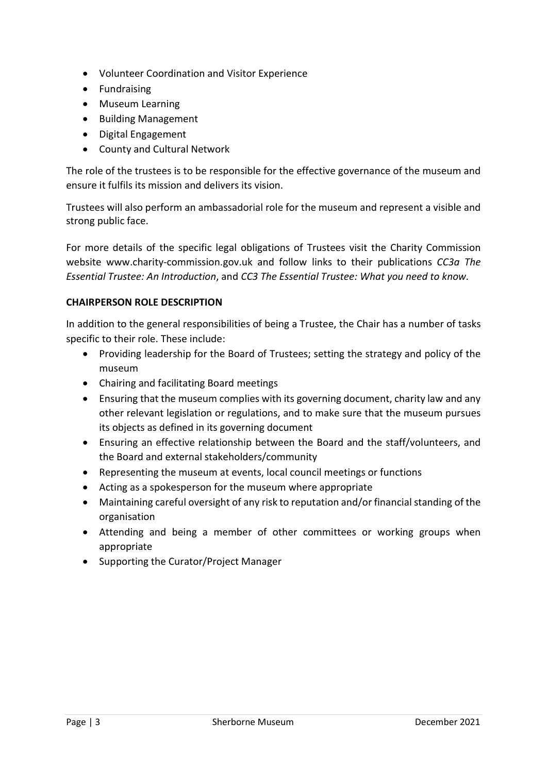- Volunteer Coordination and Visitor Experience
- Fundraising
- Museum Learning
- Building Management
- Digital Engagement
- County and Cultural Network

The role of the trustees is to be responsible for the effective governance of the museum and ensure it fulfils its mission and delivers its vision.

Trustees will also perform an ambassadorial role for the museum and represent a visible and strong public face.

For more details of the specific legal obligations of Trustees visit the Charity Commission website www.charity-commission.gov.uk and follow links to their publications CC3a The Essential Trustee: An Introduction, and CC3 The Essential Trustee: What you need to know.

### CHAIRPERSON ROLE DESCRIPTION

In addition to the general responsibilities of being a Trustee, the Chair has a number of tasks specific to their role. These include:

- Providing leadership for the Board of Trustees; setting the strategy and policy of the museum
- Chairing and facilitating Board meetings
- Ensuring that the museum complies with its governing document, charity law and any other relevant legislation or regulations, and to make sure that the museum pursues its objects as defined in its governing document
- Ensuring an effective relationship between the Board and the staff/volunteers, and the Board and external stakeholders/community
- Representing the museum at events, local council meetings or functions
- Acting as a spokesperson for the museum where appropriate
- Maintaining careful oversight of any risk to reputation and/or financial standing of the organisation
- Attending and being a member of other committees or working groups when appropriate
- Supporting the Curator/Project Manager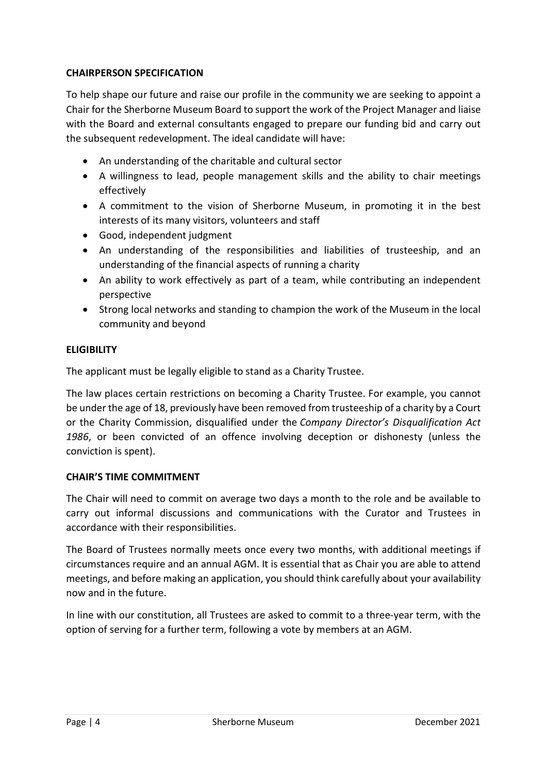# CHAIRPERSON SPECIFICATION

To help shape our future and raise our profile in the community we are seeking to appoint a Chair for the Sherborne Museum Board to support the work of the Project Manager and liaise with the Board and external consultants engaged to prepare our funding bid and carry out the subsequent redevelopment. The ideal candidate will have:

- An understanding of the charitable and cultural sector
- A willingness to lead, people management skills and the ability to chair meetings effectively
- A commitment to the vision of Sherborne Museum, in promoting it in the best interests of its many visitors, volunteers and staff
- Good, independent judgment
- An understanding of the responsibilities and liabilities of trusteeship, and an understanding of the financial aspects of running a charity
- An ability to work effectively as part of a team, while contributing an independent perspective
- Strong local networks and standing to champion the work of the Museum in the local community and beyond

### **ELIGIBILITY**

The applicant must be legally eligible to stand as a Charity Trustee.

The law places certain restrictions on becoming a Charity Trustee. For example, you cannot be under the age of 18, previously have been removed from trusteeship of a charity by a Court or the Charity Commission, disqualified under the Company Director's Disqualification Act 1986, or been convicted of an offence involving deception or dishonesty (unless the conviction is spent).

#### CHAIR'S TIME COMMITMENT

The Chair will need to commit on average two days a month to the role and be available to carry out informal discussions and communications with the Curator and Trustees in accordance with their responsibilities.

The Board of Trustees normally meets once every two months, with additional meetings if circumstances require and an annual AGM. It is essential that as Chair you are able to attend meetings, and before making an application, you should think carefully about your availability now and in the future.

In line with our constitution, all Trustees are asked to commit to a three-year term, with the option of serving for a further term, following a vote by members at an AGM.